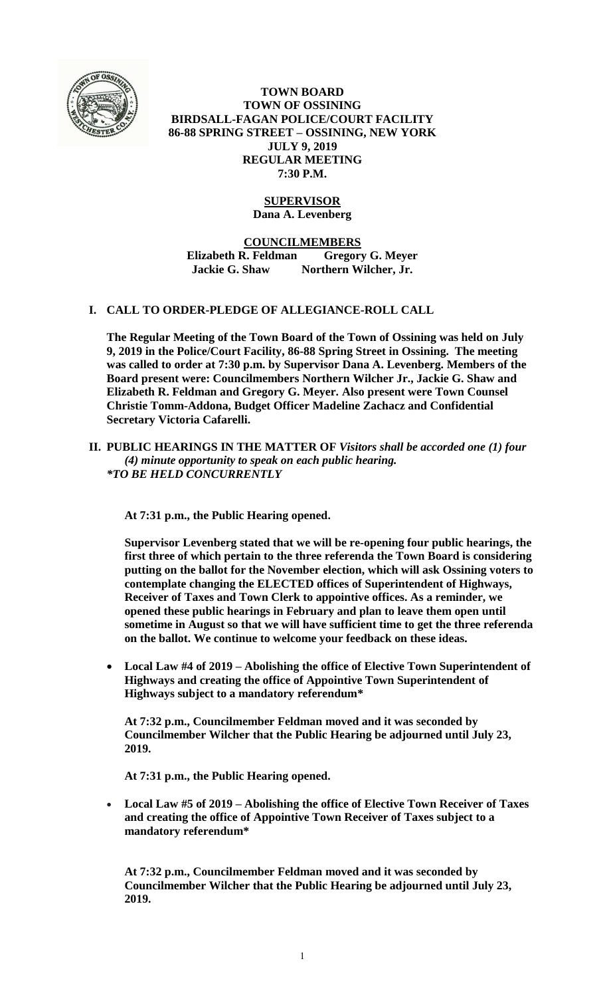

**TOWN BOARD TOWN OF OSSINING BIRDSALL-FAGAN POLICE/COURT FACILITY 86-88 SPRING STREET – OSSINING, NEW YORK JULY 9, 2019 REGULAR MEETING 7:30 P.M.**

# **SUPERVISOR**

**Dana A. Levenberg**

**COUNCILMEMBERS**

**Elizabeth R. Feldman Gregory G. Meyer Jackie G. Shaw Northern Wilcher, Jr.**

### **I. CALL TO ORDER-PLEDGE OF ALLEGIANCE-ROLL CALL**

**The Regular Meeting of the Town Board of the Town of Ossining was held on July 9, 2019 in the Police/Court Facility, 86-88 Spring Street in Ossining. The meeting was called to order at 7:30 p.m. by Supervisor Dana A. Levenberg. Members of the Board present were: Councilmembers Northern Wilcher Jr., Jackie G. Shaw and Elizabeth R. Feldman and Gregory G. Meyer. Also present were Town Counsel Christie Tomm-Addona, Budget Officer Madeline Zachacz and Confidential Secretary Victoria Cafarelli.**

### **II. PUBLIC HEARINGS IN THE MATTER OF** *Visitors shall be accorded one (1) four (4) minute opportunity to speak on each public hearing. \*TO BE HELD CONCURRENTLY*

**At 7:31 p.m., the Public Hearing opened.** 

**Supervisor Levenberg stated that we will be re-opening four public hearings, the first three of which pertain to the three referenda the Town Board is considering putting on the ballot for the November election, which will ask Ossining voters to contemplate changing the ELECTED offices of Superintendent of Highways, Receiver of Taxes and Town Clerk to appointive offices. As a reminder, we opened these public hearings in February and plan to leave them open until sometime in August so that we will have sufficient time to get the three referenda on the ballot. We continue to welcome your feedback on these ideas.** 

 **Local Law #4 of 2019 – Abolishing the office of Elective Town Superintendent of Highways and creating the office of Appointive Town Superintendent of Highways subject to a mandatory referendum\***

**At 7:32 p.m., Councilmember Feldman moved and it was seconded by Councilmember Wilcher that the Public Hearing be adjourned until July 23, 2019.**

**At 7:31 p.m., the Public Hearing opened.** 

 **Local Law #5 of 2019 – Abolishing the office of Elective Town Receiver of Taxes and creating the office of Appointive Town Receiver of Taxes subject to a mandatory referendum\***

**At 7:32 p.m., Councilmember Feldman moved and it was seconded by Councilmember Wilcher that the Public Hearing be adjourned until July 23, 2019.**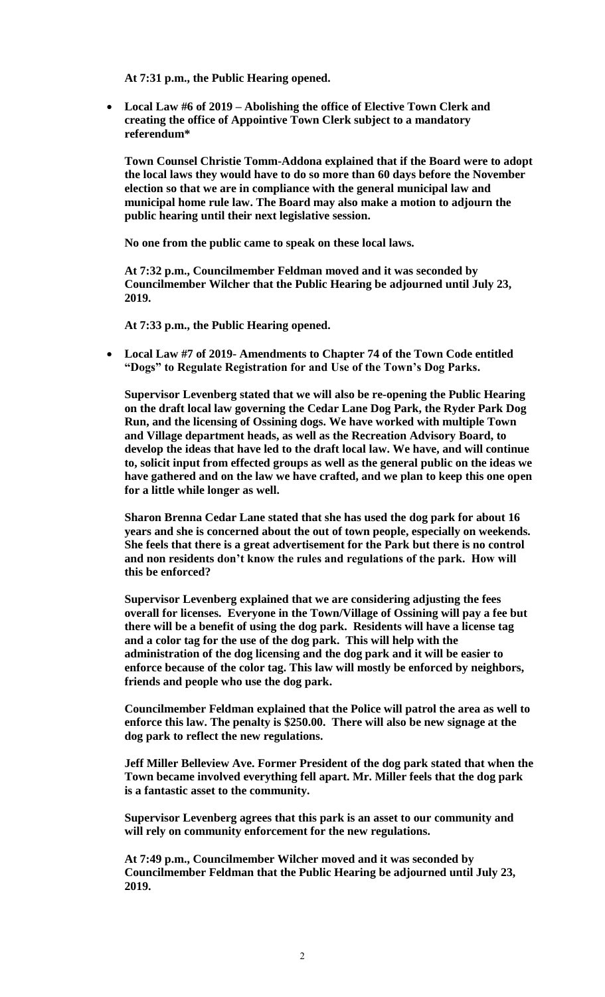**At 7:31 p.m., the Public Hearing opened.** 

 **Local Law #6 of 2019 – Abolishing the office of Elective Town Clerk and creating the office of Appointive Town Clerk subject to a mandatory referendum\***

**Town Counsel Christie Tomm-Addona explained that if the Board were to adopt the local laws they would have to do so more than 60 days before the November election so that we are in compliance with the general municipal law and municipal home rule law. The Board may also make a motion to adjourn the public hearing until their next legislative session.** 

**No one from the public came to speak on these local laws.**

**At 7:32 p.m., Councilmember Feldman moved and it was seconded by Councilmember Wilcher that the Public Hearing be adjourned until July 23, 2019.**

**At 7:33 p.m., the Public Hearing opened.** 

 **Local Law #7 of 2019- Amendments to Chapter 74 of the Town Code entitled "Dogs" to Regulate Registration for and Use of the Town's Dog Parks.**

**Supervisor Levenberg stated that we will also be re-opening the Public Hearing on the draft local law governing the Cedar Lane Dog Park, the Ryder Park Dog Run, and the licensing of Ossining dogs. We have worked with multiple Town and Village department heads, as well as the Recreation Advisory Board, to develop the ideas that have led to the draft local law. We have, and will continue to, solicit input from effected groups as well as the general public on the ideas we have gathered and on the law we have crafted, and we plan to keep this one open for a little while longer as well.** 

**Sharon Brenna Cedar Lane stated that she has used the dog park for about 16 years and she is concerned about the out of town people, especially on weekends. She feels that there is a great advertisement for the Park but there is no control and non residents don't know the rules and regulations of the park. How will this be enforced?**

**Supervisor Levenberg explained that we are considering adjusting the fees overall for licenses. Everyone in the Town/Village of Ossining will pay a fee but there will be a benefit of using the dog park. Residents will have a license tag and a color tag for the use of the dog park. This will help with the administration of the dog licensing and the dog park and it will be easier to enforce because of the color tag. This law will mostly be enforced by neighbors, friends and people who use the dog park.**

**Councilmember Feldman explained that the Police will patrol the area as well to enforce this law. The penalty is \$250.00. There will also be new signage at the dog park to reflect the new regulations.**

**Jeff Miller Belleview Ave. Former President of the dog park stated that when the Town became involved everything fell apart. Mr. Miller feels that the dog park is a fantastic asset to the community.** 

**Supervisor Levenberg agrees that this park is an asset to our community and will rely on community enforcement for the new regulations.**

**At 7:49 p.m., Councilmember Wilcher moved and it was seconded by Councilmember Feldman that the Public Hearing be adjourned until July 23, 2019.**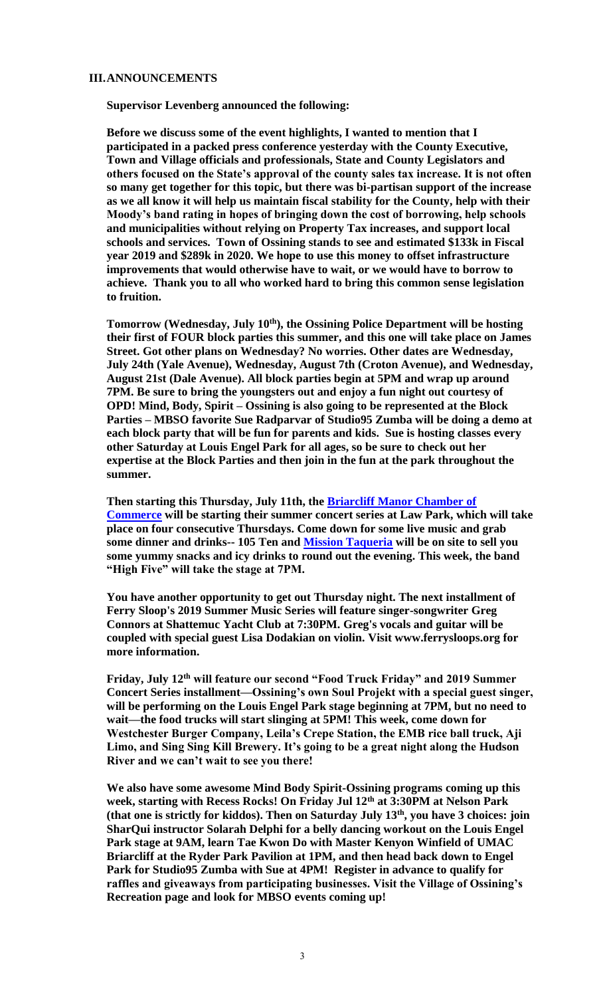### **III.ANNOUNCEMENTS**

**Supervisor Levenberg announced the following:**

**Before we discuss some of the event highlights, I wanted to mention that I participated in a packed press conference yesterday with the County Executive, Town and Village officials and professionals, State and County Legislators and others focused on the State's approval of the county sales tax increase. It is not often so many get together for this topic, but there was bi-partisan support of the increase as we all know it will help us maintain fiscal stability for the County, help with their Moody's band rating in hopes of bringing down the cost of borrowing, help schools and municipalities without relying on Property Tax increases, and support local schools and services. Town of Ossining stands to see and estimated \$133k in Fiscal year 2019 and \$289k in 2020. We hope to use this money to offset infrastructure improvements that would otherwise have to wait, or we would have to borrow to achieve. Thank you to all who worked hard to bring this common sense legislation to fruition.** 

**Tomorrow (Wednesday, July 10th), the Ossining Police Department will be hosting their first of FOUR block parties this summer, and this one will take place on James Street. Got other plans on Wednesday? No worries. Other dates are Wednesday, July 24th (Yale Avenue), Wednesday, August 7th (Croton Avenue), and Wednesday, August 21st (Dale Avenue). All block parties begin at 5PM and wrap up around 7PM. Be sure to bring the youngsters out and enjoy a fun night out courtesy of OPD! Mind, Body, Spirit – Ossining is also going to be represented at the Block Parties – MBSO favorite Sue Radparvar of Studio95 Zumba will be doing a demo at each block party that will be fun for parents and kids. Sue is hosting classes every other Saturday at Louis Engel Park for all ages, so be sure to check out her expertise at the Block Parties and then join in the fun at the park throughout the summer.**

**Then starting this Thursday, July 11th, the [Briarcliff Manor Chamber of](http://briarcliffchamber.org/)  [Commerce](http://briarcliffchamber.org/) will be starting their summer concert series at Law Park, which will take place on four consecutive Thursdays. Come down for some live music and grab some dinner and drinks-- 105 Ten and [Mission Taqueria](https://www.missionpleasantville.com/) will be on site to sell you some yummy snacks and icy drinks to round out the evening. This week, the band "High Five" will take the stage at 7PM.**

**You have another opportunity to get out Thursday night. The next installment of Ferry Sloop's 2019 Summer Music Series will feature singer-songwriter Greg Connors at Shattemuc Yacht Club at 7:30PM. Greg's vocals and guitar will be coupled with special guest Lisa Dodakian on violin. Visit www.ferrysloops.org for more information.**

**Friday, July 12th will feature our second "Food Truck Friday" and 2019 Summer Concert Series installment—Ossining's own Soul Projekt with a special guest singer, will be performing on the Louis Engel Park stage beginning at 7PM, but no need to wait—the food trucks will start slinging at 5PM! This week, come down for Westchester Burger Company, Leila's Crepe Station, the EMB rice ball truck, Aji Limo, and Sing Sing Kill Brewery. It's going to be a great night along the Hudson River and we can't wait to see you there!**

**We also have some awesome Mind Body Spirit-Ossining programs coming up this week, starting with Recess Rocks! On Friday Jul 12th at 3:30PM at Nelson Park (that one is strictly for kiddos). Then on Saturday July 13th, you have 3 choices: join SharQui instructor Solarah Delphi for a belly dancing workout on the Louis Engel Park stage at 9AM, learn Tae Kwon Do with Master Kenyon Winfield of UMAC Briarcliff at the Ryder Park Pavilion at 1PM, and then head back down to Engel Park for Studio95 Zumba with Sue at 4PM! Register in advance to qualify for raffles and giveaways from participating businesses. Visit the Village of Ossining's Recreation page and look for MBSO events coming up!**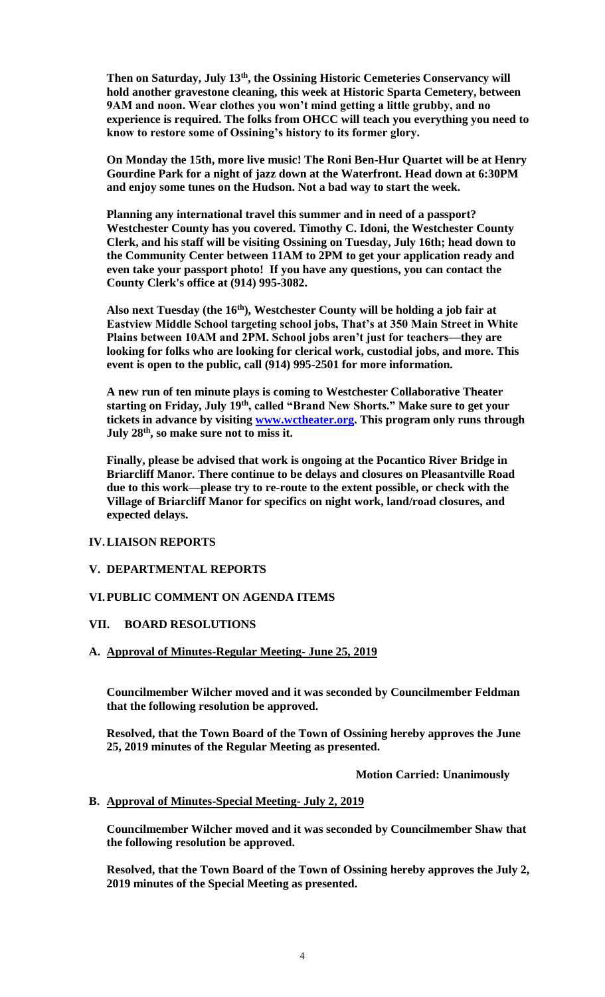**Then on Saturday, July 13th, the Ossining Historic Cemeteries Conservancy will hold another gravestone cleaning, this week at Historic Sparta Cemetery, between 9AM and noon. Wear clothes you won't mind getting a little grubby, and no experience is required. The folks from OHCC will teach you everything you need to know to restore some of Ossining's history to its former glory.**

**On Monday the 15th, more live music! The Roni Ben-Hur Quartet will be at Henry Gourdine Park for a night of jazz down at the Waterfront. Head down at 6:30PM and enjoy some tunes on the Hudson. Not a bad way to start the week.**

**Planning any international travel this summer and in need of a passport? Westchester County has you covered. Timothy C. Idoni, the Westchester County Clerk, and his staff will be visiting Ossining on Tuesday, July 16th; head down to the Community Center between 11AM to 2PM to get your application ready and even take your passport photo! If you have any questions, you can contact the County Clerk's office at (914) 995-3082.**

**Also next Tuesday (the 16th), Westchester County will be holding a job fair at Eastview Middle School targeting school jobs, That's at 350 Main Street in White Plains between 10AM and 2PM. School jobs aren't just for teachers—they are looking for folks who are looking for clerical work, custodial jobs, and more. This event is open to the public, call (914) 995-2501 for more information.**

**A new run of ten minute plays is coming to Westchester Collaborative Theater starting on Friday, July 19th, called "Brand New Shorts." Make sure to get your tickets in advance by visiting [www.wctheater.org.](http://www.wctheater.org/) This program only runs through July 28th, so make sure not to miss it.**

**Finally, please be advised that work is ongoing at the Pocantico River Bridge in Briarcliff Manor. There continue to be delays and closures on Pleasantville Road due to this work—please try to re-route to the extent possible, or check with the Village of Briarcliff Manor for specifics on night work, land/road closures, and expected delays.**

## **IV.LIAISON REPORTS**

### **V. DEPARTMENTAL REPORTS**

#### **VI.PUBLIC COMMENT ON AGENDA ITEMS**

### **VII. BOARD RESOLUTIONS**

### **A. Approval of Minutes-Regular Meeting- June 25, 2019**

**Councilmember Wilcher moved and it was seconded by Councilmember Feldman that the following resolution be approved.**

**Resolved, that the Town Board of the Town of Ossining hereby approves the June 25, 2019 minutes of the Regular Meeting as presented.**

**Motion Carried: Unanimously**

### **B. Approval of Minutes-Special Meeting- July 2, 2019**

**Councilmember Wilcher moved and it was seconded by Councilmember Shaw that the following resolution be approved.**

**Resolved, that the Town Board of the Town of Ossining hereby approves the July 2, 2019 minutes of the Special Meeting as presented.**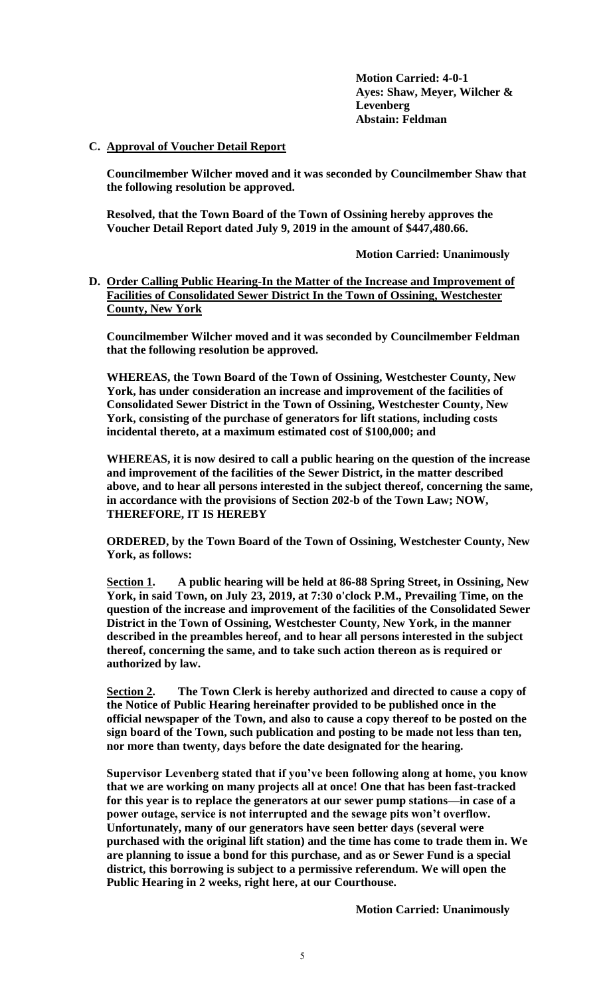**Motion Carried: 4-0-1 Ayes: Shaw, Meyer, Wilcher & Levenberg Abstain: Feldman**

## **C. Approval of Voucher Detail Report**

**Councilmember Wilcher moved and it was seconded by Councilmember Shaw that the following resolution be approved.**

**Resolved, that the Town Board of the Town of Ossining hereby approves the Voucher Detail Report dated July 9, 2019 in the amount of \$447,480.66.**

**Motion Carried: Unanimously**

**D. Order Calling Public Hearing-In the Matter of the Increase and Improvement of Facilities of Consolidated Sewer District In the Town of Ossining, Westchester County, New York**

**Councilmember Wilcher moved and it was seconded by Councilmember Feldman that the following resolution be approved.**

**WHEREAS, the Town Board of the Town of Ossining, Westchester County, New York, has under consideration an increase and improvement of the facilities of Consolidated Sewer District in the Town of Ossining, Westchester County, New York, consisting of the purchase of generators for lift stations, including costs incidental thereto, at a maximum estimated cost of \$100,000; and**

**WHEREAS, it is now desired to call a public hearing on the question of the increase and improvement of the facilities of the Sewer District, in the matter described above, and to hear all persons interested in the subject thereof, concerning the same, in accordance with the provisions of Section 202-b of the Town Law; NOW, THEREFORE, IT IS HEREBY**

**ORDERED, by the Town Board of the Town of Ossining, Westchester County, New York, as follows:**

**Section 1. A public hearing will be held at 86-88 Spring Street, in Ossining, New York, in said Town, on July 23, 2019, at 7:30 o'clock P.M., Prevailing Time, on the question of the increase and improvement of the facilities of the Consolidated Sewer District in the Town of Ossining, Westchester County, New York, in the manner described in the preambles hereof, and to hear all persons interested in the subject thereof, concerning the same, and to take such action thereon as is required or authorized by law.**

**Section 2. The Town Clerk is hereby authorized and directed to cause a copy of the Notice of Public Hearing hereinafter provided to be published once in the official newspaper of the Town, and also to cause a copy thereof to be posted on the sign board of the Town, such publication and posting to be made not less than ten, nor more than twenty, days before the date designated for the hearing.**

**Supervisor Levenberg stated that if you've been following along at home, you know that we are working on many projects all at once! One that has been fast-tracked for this year is to replace the generators at our sewer pump stations—in case of a power outage, service is not interrupted and the sewage pits won't overflow. Unfortunately, many of our generators have seen better days (several were purchased with the original lift station) and the time has come to trade them in. We are planning to issue a bond for this purchase, and as or Sewer Fund is a special district, this borrowing is subject to a permissive referendum. We will open the Public Hearing in 2 weeks, right here, at our Courthouse.** 

**Motion Carried: Unanimously**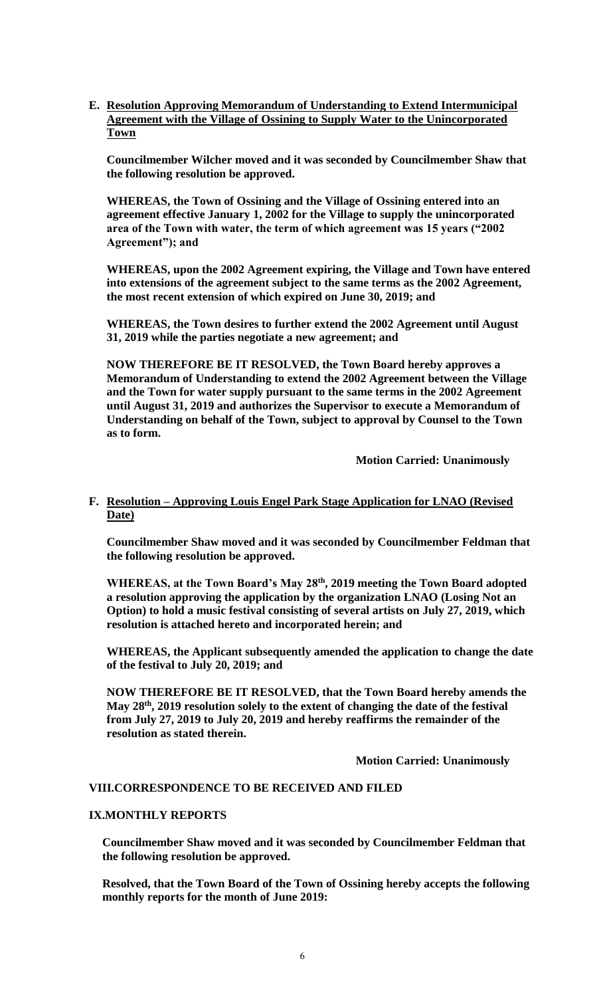**E. Resolution Approving Memorandum of Understanding to Extend Intermunicipal Agreement with the Village of Ossining to Supply Water to the Unincorporated Town**

**Councilmember Wilcher moved and it was seconded by Councilmember Shaw that the following resolution be approved.**

**WHEREAS, the Town of Ossining and the Village of Ossining entered into an agreement effective January 1, 2002 for the Village to supply the unincorporated area of the Town with water, the term of which agreement was 15 years ("2002 Agreement"); and**

**WHEREAS, upon the 2002 Agreement expiring, the Village and Town have entered into extensions of the agreement subject to the same terms as the 2002 Agreement, the most recent extension of which expired on June 30, 2019; and**

**WHEREAS, the Town desires to further extend the 2002 Agreement until August 31, 2019 while the parties negotiate a new agreement; and** 

**NOW THEREFORE BE IT RESOLVED, the Town Board hereby approves a Memorandum of Understanding to extend the 2002 Agreement between the Village and the Town for water supply pursuant to the same terms in the 2002 Agreement until August 31, 2019 and authorizes the Supervisor to execute a Memorandum of Understanding on behalf of the Town, subject to approval by Counsel to the Town as to form.**

**Motion Carried: Unanimously**

## **F. Resolution – Approving Louis Engel Park Stage Application for LNAO (Revised Date)**

**Councilmember Shaw moved and it was seconded by Councilmember Feldman that the following resolution be approved.**

**WHEREAS, at the Town Board's May 28th, 2019 meeting the Town Board adopted a resolution approving the application by the organization LNAO (Losing Not an Option) to hold a music festival consisting of several artists on July 27, 2019, which resolution is attached hereto and incorporated herein; and**

**WHEREAS, the Applicant subsequently amended the application to change the date of the festival to July 20, 2019; and**

**NOW THEREFORE BE IT RESOLVED, that the Town Board hereby amends the May 28th, 2019 resolution solely to the extent of changing the date of the festival from July 27, 2019 to July 20, 2019 and hereby reaffirms the remainder of the resolution as stated therein.**

**Motion Carried: Unanimously**

#### **VIII.CORRESPONDENCE TO BE RECEIVED AND FILED**

### **IX.MONTHLY REPORTS**

**Councilmember Shaw moved and it was seconded by Councilmember Feldman that the following resolution be approved.**

**Resolved, that the Town Board of the Town of Ossining hereby accepts the following monthly reports for the month of June 2019:**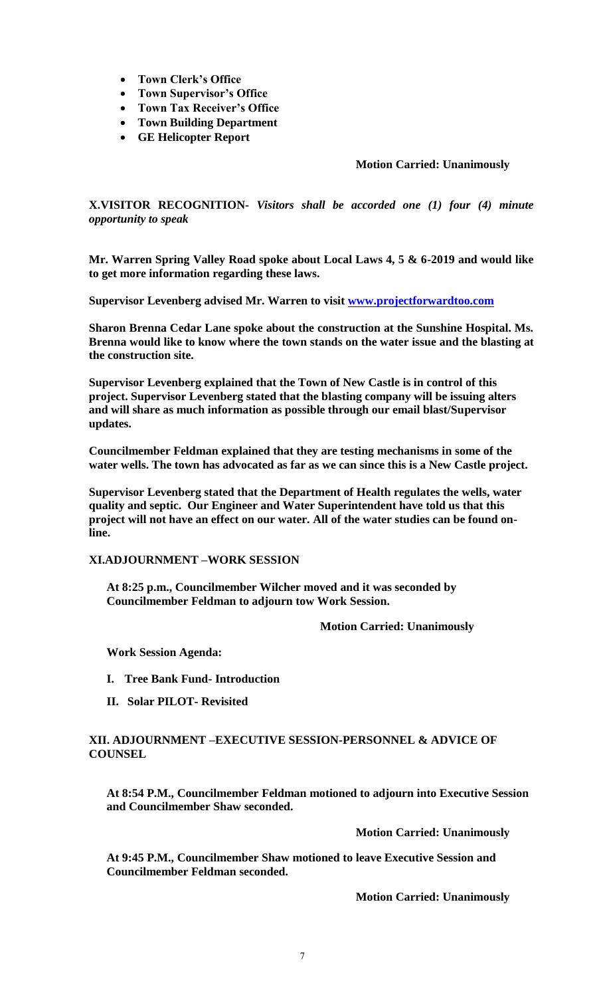- **Town Clerk's Office**
- **Town Supervisor's Office**
- **Town Tax Receiver's Office**
- **Town Building Department**
- **GE Helicopter Report**

## **Motion Carried: Unanimously**

**X.VISITOR RECOGNITION-** *Visitors shall be accorded one (1) four (4) minute opportunity to speak*

**Mr. Warren Spring Valley Road spoke about Local Laws 4, 5 & 6-2019 and would like to get more information regarding these laws.**

**Supervisor Levenberg advised Mr. Warren to visit [www.projectforwardtoo.com](http://www.projectforwardtoo.com/)**

**Sharon Brenna Cedar Lane spoke about the construction at the Sunshine Hospital. Ms. Brenna would like to know where the town stands on the water issue and the blasting at the construction site.** 

**Supervisor Levenberg explained that the Town of New Castle is in control of this project. Supervisor Levenberg stated that the blasting company will be issuing alters and will share as much information as possible through our email blast/Supervisor updates.** 

**Councilmember Feldman explained that they are testing mechanisms in some of the water wells. The town has advocated as far as we can since this is a New Castle project.** 

**Supervisor Levenberg stated that the Department of Health regulates the wells, water quality and septic. Our Engineer and Water Superintendent have told us that this project will not have an effect on our water. All of the water studies can be found online.**

### **XI.ADJOURNMENT –WORK SESSION**

**At 8:25 p.m., Councilmember Wilcher moved and it was seconded by Councilmember Feldman to adjourn tow Work Session.**

#### **Motion Carried: Unanimously**

**Work Session Agenda:**

- **I. Tree Bank Fund- Introduction**
- **II. Solar PILOT- Revisited**

### **XII. ADJOURNMENT –EXECUTIVE SESSION-PERSONNEL & ADVICE OF COUNSEL**

**At 8:54 P.M., Councilmember Feldman motioned to adjourn into Executive Session and Councilmember Shaw seconded.** 

**Motion Carried: Unanimously**

**At 9:45 P.M., Councilmember Shaw motioned to leave Executive Session and Councilmember Feldman seconded.** 

**Motion Carried: Unanimously**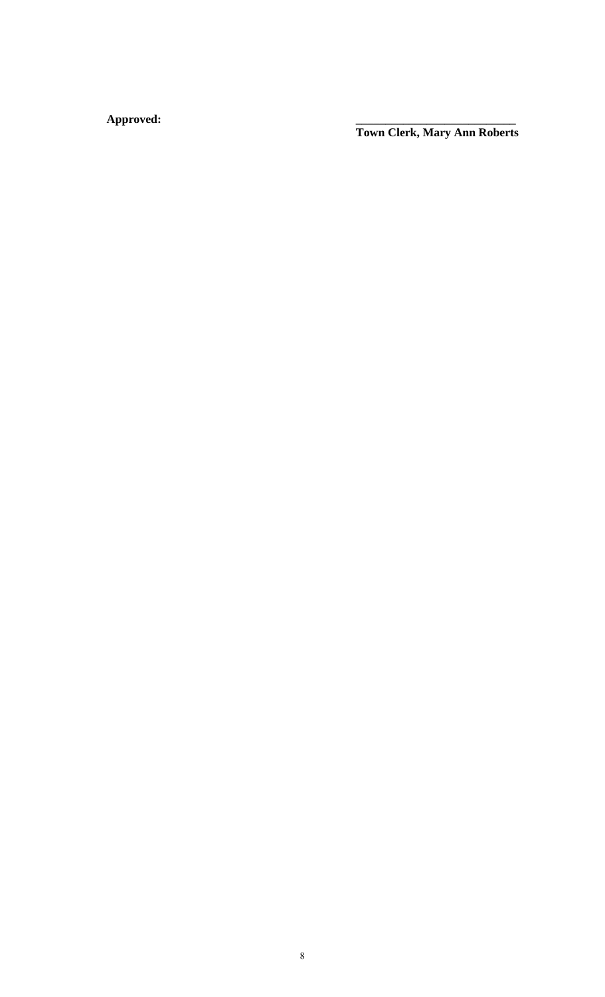**Approved: \_\_\_\_\_\_\_\_\_\_\_\_\_\_\_\_\_\_\_\_\_\_\_\_\_\_\_**

**Town Clerk, Mary Ann Roberts**